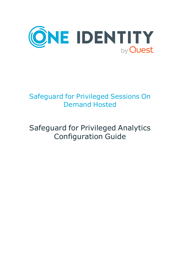

# Safeguard for Privileged Sessions On Demand Hosted

# Safeguard for Privileged Analytics Configuration Guide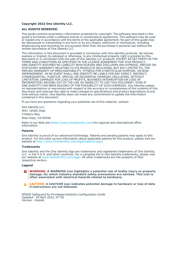#### **Copyright 2022 One Identity LLC.**

#### **ALL RIGHTS RESERVED.**

This guide contains proprietary information protected by copyright. The software described in this guide is furnished under a software license or nondisclosure agreement. This software may be used or copied only in accordance with the terms of the applicable agreement. No part of this guide may be reproduced or transmitted in any form or by any means, electronic or mechanical, including photocopying and recording for any purpose other than the purchaser's personal use without the written permission of One Identity LLC .

The information in this document is provided in connection with One Identity products. No license, express or implied, by estoppel or otherwise, to any intellectual property right is granted by this document or in connection with the sale of One Identity LLC products. EXCEPT AS SET FORTH IN THE TERMS AND CONDITIONS AS SPECIFIED IN THE LICENSE AGREEMENT FOR THIS PRODUCT, ONE IDENTITY ASSUMES NO LIABILITY WHATSOEVER AND DISCLAIMS ANY EXPRESS, IMPLIED OR STATUTORY WARRANTY RELATING TO ITS PRODUCTS INCLUDING, BUT NOT LIMITED TO, THE IMPLIED WARRANTY OF MERCHANTABILITY, FITNESS FOR A PARTICULAR PURPOSE, OR NON-INFRINGEMENT. IN NO EVENT SHALL ONE IDENTITY BE LIABLE FOR ANY DIRECT, INDIRECT, CONSEQUENTIAL, PUNITIVE, SPECIAL OR INCIDENTAL DAMAGES (INCLUDING, WITHOUT LIMITATION, DAMAGES FOR LOSS OF PROFITS, BUSINESS INTERRUPTION OR LOSS OF INFORMATION) ARISING OUT OF THE USE OR INABILITY TO USE THIS DOCUMENT, EVEN IF ONE IDENTITY HAS BEEN ADVISED OF THE POSSIBILITY OF SUCH DAMAGES. One Identity makes no representations or warranties with respect to the accuracy or completeness of the contents of this document and reserves the right to make changes to specifications and product descriptions at any time without notice. One Identity does not make any commitment to update the information contained in this document.

If you have any questions regarding your potential use of this material, contact:

One Identity LLC. Attn: LEGAL Dept 4 Polaris Way Aliso Viejo, CA 92656

Refer to our Web site [\(http://www.OneIdentity.com](http://www.oneidentity.com/)) for regional and international office information.

#### **Patents**

One Identity is proud of our advanced technology. Patents and pending patents may apply to this product. For the most current information about applicable patents for this product, please visit our website at [http://www.OneIdentity.com/legal/patents.aspx.](http://www.oneidentity.com/legal/patents.aspx)

#### **Trademarks**

One Identity and the One Identity logo are trademarks and registered trademarks of One Identity LLC. in the U.S.A. and other countries. For a complete list of One Identity trademarks, please visit our website at [www.OneIdentity.com/legal](http://www.oneidentity.com/legal). All other trademarks are the property of their respective owners.

#### **Legend**

**WARNING: A WARNING icon highlights a potential risk of bodily injury or property** œ **damage, for which industry-standard safety precautions are advised. This icon is often associated with electrical hazards related to hardware.**

**CAUTION: A CAUTION icon indicates potential damage to hardware or loss of data if instructions are not followed.**

SPSOD Safeguard for Privileged Analytics Configuration Guide Updated - 20 April 2022, 07:36 Version - Hosted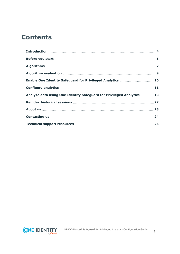### **Contents**

| Algorithm evaluation manufactured and all proportional control of the state of the state of the state of the s |    |
|----------------------------------------------------------------------------------------------------------------|----|
| Enable One Identity Safeguard for Privileged Analytics 10                                                      |    |
|                                                                                                                |    |
| Analyze data using One Identity Safeguard for Privileged Analytics 13                                          |    |
|                                                                                                                |    |
|                                                                                                                |    |
|                                                                                                                | 24 |
|                                                                                                                |    |

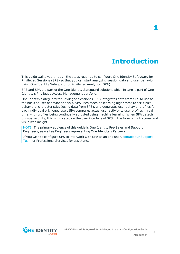## **Introduction**

<span id="page-3-0"></span>This guide walks you through the steps required to configure One Identity Safeguard for Privileged Sessions (SPS) so that you can start analyzing session data and user behavior using One Identity Safeguard for Privileged Analytics (SPA).

SPS and SPA are part of the One Identity Safeguard solution, which in turn is part of One Identity's Privileged Access Management portfolio.

One Identity Safeguard for Privileged Sessions (SPS) integrates data from SPS to use as the basis of user behavior analysis. SPA uses machine learning algorithms to scrutinize behavioral characteristics (using data from SPS), and generates user behavior profiles for each individual privileged user. SPA compares actual user activity to user profiles in real time, with profiles being continually adjusted using machine learning. When SPA detects unusual activity, this is indicated on the user interface of SPS in the form of high scores and visualized insight.

NOTE: The primary audience of this guide is One Identity Pre-Sales and Support Engineers, as well as Engineers representing One Identity's Partners.

If you wish to configure SPS to interwork with SPA as an end user, contact our [Support](https://support.oneidentity.com/one-identity-safeguard-for-privileged-sessions) [Team](https://support.oneidentity.com/one-identity-safeguard-for-privileged-sessions) or Professional Services for assistance.

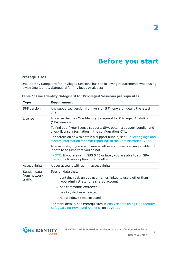## **Before you start**

### <span id="page-4-0"></span>**Prerequisites**

One Identity Safeguard for Privileged Sessions has the following requirements when using it with One Identity Safeguard for Privileged Analytics:

| <b>Type</b>             | <b>Requirement</b>                                                                                                                              |
|-------------------------|-------------------------------------------------------------------------------------------------------------------------------------------------|
| <b>SPS</b> version      | Any supported version from version 5 F4 onward, ideally the latest<br>one.                                                                      |
| License                 | A license that has One Identity Safeguard for Privileged Analytics<br>(SPA) enabled.                                                            |
|                         | To find out if your license supports SPA, obtain a support bundle, and<br>check license information in the configuration XML.                   |
|                         | For details on how to obtain a support bundle, see "Collecting logs and<br>system information for error reporting" in the Administration Guide. |
|                         | Alternatively, if you are unsure whether you have licensing enabled, it<br>is safe to assume that you do not.                                   |
|                         | NOTE: If you are using SPS 5 F5 or later, you are able to run SPA<br>without a license option for 2 months.                                     |
| Access rights           | A user account with admin access rights.                                                                                                        |
| Session data            | Session data that:                                                                                                                              |
| from network<br>traffic | • contains real, unique usernames linked to users other than<br>root/administrator or a shared account                                          |
|                         | • has commands extracted                                                                                                                        |
|                         | • has keystrokes extracted                                                                                                                      |
|                         | • has window titles extracted                                                                                                                   |
|                         | For more details, see Prerequisites in Analyze data using One Identity<br>Safeguard for Privileged Analytics on page 13.                        |

**Table 1: One Identity Safeguard for Privileged Sessions prerequisites**

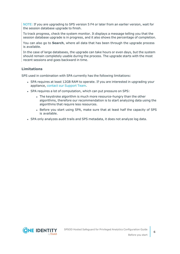NOTE: If you are upgrading to SPS version 5 F4 or later from an earlier version, wait for the session database upgrade to finish.

To track progress, check the system monitor. It displays a message telling you that the session database upgrade is in progress, and it also shows the percentage of completion.

You can also go to **Search**, where all data that has been through the upgrade process is available.

In the case of large databases, the upgrade can take hours or even days, but the system should remain completely usable during the process. The upgrade starts with the most recent sessions and goes backward in time.

### **Limitations**

SPS used in combination with SPA currently has the following limitations:

- SPA requires at least 12GB RAM to operate. If you are interested in upgrading your appliance, contact our [Support](https://support.oneidentity.com/one-identity-safeguard-for-privileged-sessions) Team.
- SPA requires a lot of computation, which can put pressure on SPS:
	- The keystroke algorithm is much more resource-hungry than the other algorithms, therefore our recommendation is to start analyzing data using the algorithms that require less resources.
	- Before you start using SPA, make sure that at least half the capacity of SPS is available.
- SPA only analyzes audit trails and SPS metadata, it does not analyze log data.

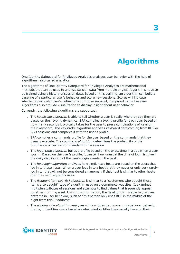# **Algorithms**

**3**

<span id="page-6-0"></span>One Identity Safeguard for Privileged Analytics analyzes user behavior with the help of algorithms, also called analytics.

The algorithms of One Identity Safeguard for Privileged Analytics are mathematical methods that can be used to analyze session data from multiple angles. Algorithms have to be trained using a history of session data. Based on this training, an algorithm can build a baseline of a particular user's behavior and score new sessions. Scores will indicate whether a particular user's behavior is normal or unusual, compared to the baseline. Algorithms also provide visualization to display insight about user behavior.

Currently, the following algorithms are supported:

- <sup>l</sup> The *keystroke algorithm* is able to tell whether a user is really who they say they are based on their typing dynamics. SPA compiles a typing profile for each user based on how many seconds it typically takes for the user to press combinations of keys on their keyboard. The keystroke algorithm analyzes keyboard data coming from RDP or SSH sessions and compares it with the user's profile.
- SPA compiles a commands profile for the user based on the commands that they usually execute. The *command algorithm* determines the probability of the occurrence of certain commands within a session.
- <sup>l</sup> The *login time algorithm* builds a profile based on the exact time in a day when a user logs in. Based on the user's profile, it can tell how unusual the time of login is, given the daily distribution of the user's login events in the past.
- <sup>l</sup> The *host login algorithm* analyzes how similar two hosts are based on the users that log in to those hosts. When a user logs in to a host that they never or only very rarely log in to, that will not be considered an anomaly if that host is similar to other hosts that the user frequently uses.
- <sup>l</sup> The *frequent item set (fis) algorithm* is similar to a "customers who bought these items also bought" type of algorithm used on e-commerce websites. It examines multiple attributes of sessions and attempts to find values that frequently appear together, forming a set. Using this information, the fis algorithm is able to discover patterns in user behavior, such as "this person only uses RDP in the middle of the night from this IP address".
- <sup>l</sup> The *window title algorithm* analyzes window titles to uncover unusual user behavior, that is, it identifies users based on what window titles they usually have on their

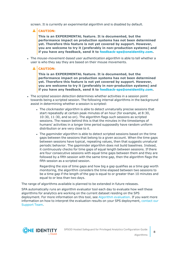screen. It is currently an experimental algorithm and is disabled by default.

**A** CAUTION:

**This is an EXPERIMENTAL feature. It is documented, but the performance impact on production systems has not been determined yet. Therefore this feature is not yet covered by support. However, you are welcome to try it (preferably in non-production systems) and if you have any feedback, send it to [feedback-sps@oneidentity.com](mailto:feedback-sps@oneidentity.com).**

- <sup>l</sup> The *mouse-movement-based user authentication algorithm* is able to tell whether a user is who they say they are based on their mouse movements.
	- **A** CAUTION:

**This is an EXPERIMENTAL feature. It is documented, but the performance impact on production systems has not been determined yet. Therefore this feature is not yet covered by support. However, you are welcome to try it (preferably in non-production systems) and if you have any feedback, send it to [feedback-sps@oneidentity.com](mailto:feedback-sps@oneidentity.com).**

- <sup>l</sup> The *scripted session detection* determines whether activities in a session point towards being a scripted session. The following internal algorithms in the background assist in determining whether a session is scripted:
	- <sup>l</sup> The *clockmaster algorithm* is able to detect unnaturally precise sessions that start repeatedly at certain peak minutes of an hour (for example, at 8:30, 10:30, 11:30, and so on). The algorithm flags such sessions as scripted sessions. The reason behind this is that the minutes in the timestamps of humans' activities in a longer time period supposedly have random uniform distribution or are very close to it.
	- <sup>l</sup> The *gapminder algorithm* is able to detect scripted sessions based on the time gaps between the sessions that belong to a given account. When the time gaps between sessions have typical, repeating values, then that suggests unnatural periodic behavior. The gapminder algorithm does not build baselines. Instead, it continuously checks for time gaps of equal length between sessions. If there are four consecutive sessions with equal time gaps between them and they are followed by a fifth session with the same time gap, then the algorithm flags the fifth session as a scripted session.

Regarding the size of time gaps and how big a gap qualifies as a time gap worth monitoring, the algorithm considers the time elapsed between two sessions to be a time gap if the length of the gap is equal to or greater than 10 minutes and equal to or less than two days.

The range of algorithms available is planned to be extended in future releases.

SPA automatically runs an algorithm evaluator tool each day to evaluate how well these algorithms for analytics are working on the current dataset residing on the SPS deployment. For more information on this tool, see Algorithm [evaluation.](#page-8-0) If you want more information on how to interpret the evaluation results on your SPS deployment, [contact](https://support.oneidentity.com/one-identity-safeguard-for-privileged-sessions) our [Support](https://support.oneidentity.com/one-identity-safeguard-for-privileged-sessions) Team.

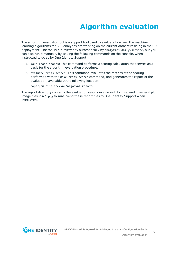# **Algorithm evaluation**

<span id="page-8-0"></span>The algorithm evaluator tool is a support tool used to evaluate how well the machine learning algorithms for SPS analytics are working on the current dataset residing in the SPS deployment. The tool is run every day automatically by analytics-daily.service, but you can also run it manually by issuing the following commands on the console, when instructed to do so by One Identity Support:

- 1. make-cross-scores: This command performs a scoring calculation that serves as a basis for the algorithm evaluation procedure.
- 2. evaluate-cross-scores: This command evaluates the metrics of the scoring performed with the make-cross-scores command, and generates the report of the evaluation, available at the following location:

/opt/pam-pipeline/var/algoeval-report/

The report directory contains the evaluation results in a report.txt file, and in several plot image files in a \*.png format. Send these report files to One Identity Support when instructed.

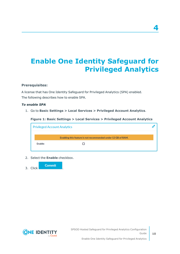# <span id="page-9-0"></span>**Enable One Identity Safeguard for Privileged Analytics**

### **Prerequisites:**

A license that has One Identity Safeguard for Privileged Analytics (SPA) enabled. The following describes how to enable SPA.

### *To enable SPA*

1. Go to **Basic Settings > Local Services > Privileged Account Analytics**.

**Figure 1: Basic Settings > Local Services > Privileged Account Analytics**

| <b>Privileged Account Analytics</b> |                                                              |  |
|-------------------------------------|--------------------------------------------------------------|--|
|                                     | Enabling this feature is not recommended under 12 GB of RAM. |  |
| Enable:                             |                                                              |  |

2. Select the **Enable** checkbox.





**4**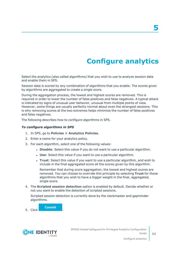**Configure analytics**

**5**

<span id="page-10-0"></span>Select the analytics (also called algorithms) that you wish to use to analyze session data and enable them in SPS.

Session data is scored by any combination of algorithms that you enable. The scores given by algorithms are aggregated to create a single score.

During the aggregation process, the lowest and highest scores are removed. This is required in order to lower the number of false positives and false negatives. A typical attack is indicated by signs of unusual user behavior, unusual from multiple points of view. However, some things are usually perfectly normal about even the strangest sessions. This is why removing scores at the two extremes helps minimize the number of false positives and false negatives.

The following describes how to configure algorithms in SPS.

### *To configure algorithms in SPS*

- 1. In SPS, go to **Policies > Analytics Policies**.
- 2. Enter a name for your analytics policy.
- 3. For each algorithm, select one of the following values:
	- **.** Disable: Select this value if you do not want to use a particular algorithm.
	- **.** Use: Select this value if you want to use a particular algorithm.
	- <sup>l</sup> **Trust**: Select this value if you want to use a particular algorithm, and wish to include in the final aggregated score all the scores given by this algorithm.

Remember that during score aggregation, the lowest and highest scores are removed. You can choose to override this principle by selecting **Trust** for those algorithms that you wish to have a bigger weight in the final, aggregated, single score.

4. The **Scripted session detection** option is enabled by default. Decide whether or not you want to enable the detection of scripted sessions.

Scripted session detection is currently done by the clockmaster and gapminder algorithms.

**Commit** 5. Click .

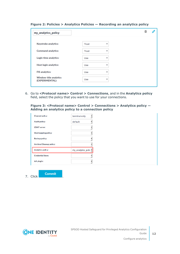| my_analytics_policy                              |              |              |  |
|--------------------------------------------------|--------------|--------------|--|
| Keystroke analytics:                             | Trust        | v            |  |
| <b>Command analytics:</b>                        | <b>Trust</b> | v            |  |
| Login time analytics:                            | Use          | v            |  |
| <b>Host login analytics:</b>                     | Use          | v            |  |
| <b>FIS analytics:</b>                            | Use          | v            |  |
| <b>Window title analytics</b><br>(EXPERIMENTAL): | Use          | $\mathbf{v}$ |  |

### **Figure 2: Policies > Analytics Policies — Recording an analytics policy**

6. Go to **<Protocol name> Control > Connections**, and in the **Analytics policy** field, select the policy that you want to use for your connections.

**Figure 3: <Protocol name> Control > Connections > Analytics policy — Adding an analytics policy to a connection policy**

| <b>Channel policy:</b>         | terminal-only        |
|--------------------------------|----------------------|
| <b>Audit policy:</b>           | default              |
| <b>LDAP</b> server:            |                      |
| <b>Usermapping policy:</b>     |                      |
| <b>Backup policy:</b>          |                      |
| <b>Archive/Cleanup policy:</b> |                      |
| <b>Analytics policy:</b>       | my_analytics_polic ~ |
| <b>Credential Store:</b>       |                      |
| AA plugin:                     |                      |

7. Click .

**Commit** 

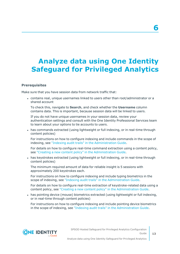# <span id="page-12-0"></span>**Analyze data using One Identity Safeguard for Privileged Analytics**

### **Prerequisites**

Make sure that you have session data from network traffic that:

<sup>l</sup> contains real, unique usernames linked to users other than root/administrator or a shared account

To check this, navigate to **Search**, and check whether the **Username** column contains data. This is important, because session data will be linked to users.

If you do not have unique usernames in your session data, review your authentication settings and consult with the One Identity Professional Services team to learn about your options to tie accounts to users.

• has commands extracted (using lightweight or full indexing, or in real-time through content policies)

For instructions on how to configure indexing and include commands in the scope of indexing, see "Indexing audit trails" in the [Administration](https://support.oneidentity.com/technical-documents/safeguard-for-privileged-sessions/6.13.1/administration-guide/) Guide.

For details on how to configure real-time command extraction using a content policy, see "Creating a new content policy" in the [Administration](https://support.oneidentity.com/technical-documents/safeguard-for-privileged-sessions/6.13.1/administration-guide/general-connection-settings/real-time-content-monitoring-with-content-policies/creating-a-new-content-policy/) Guide.

• has keystrokes extracted (using lightweight or full indexing, or in real-time through content policies)

The minimum required amount of data for reliable insight is 5 sessions with approximately 200 keystrokes each.

For instructions on how to configure indexing and include typing biometrics in the scope of indexing, see "Indexing audit trails" in the [Administration](https://support.oneidentity.com/technical-documents/safeguard-for-privileged-sessions/6.13.1/administration-guide/) Guide.

For details on how to configure real-time extraction of keystroke-related data using a content policy, see "Creating a new content policy" in the [Administration](https://support.oneidentity.com/technical-documents/safeguard-for-privileged-sessions/6.13.1/administration-guide/general-connection-settings/real-time-content-monitoring-with-content-policies/creating-a-new-content-policy/) Guide.

• has pointing device (mouse) biometrics extracted (using lightweight or full indexing, or in real-time through content policies)

For instructions on how to configure indexing and include pointing device biometrics in the scope of indexing, see "Indexing audit trails" in the [Administration](https://support.oneidentity.com/technical-documents/safeguard-for-privileged-sessions/6.13.1/administration-guide/) Guide.



**13**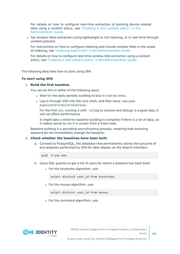For details on how to configure real-time extraction of pointing device-related data using a content policy, see ["Creating](https://support.oneidentity.com/technical-documents/safeguard-for-privileged-sessions/6.13.1/administration-guide/general-connection-settings/real-time-content-monitoring-with-content-policies/creating-a-new-content-policy/) a new content policy" in the [Administration](https://support.oneidentity.com/technical-documents/safeguard-for-privileged-sessions/6.13.1/administration-guide/general-connection-settings/real-time-content-monitoring-with-content-policies/creating-a-new-content-policy/) Guide.

• has window titles extracted (using lightweight or full indexing, or in real-time through content policies)

For instructions on how to configure indexing and include window titles in the scope of indexing, see "Indexing audit trails" in the [Administration](https://support.oneidentity.com/technical-documents/safeguard-for-privileged-sessions/6.13.1/administration-guide/) Guide.

For details on how to configure real-time window title extraction using a content policy, see "Creating a new content policy" in the [Administration](https://support.oneidentity.com/technical-documents/safeguard-for-privileged-sessions/6.13.1/administration-guide/general-connection-settings/real-time-content-monitoring-with-content-policies/creating-a-new-content-policy/) Guide.

The following describes how to start using SPA.

#### *To start using SPA*

### 1. **Build the first baseline.**

You can do this in either of the following ways:

- . Wait for the daily periodic building to kick in (run by cron).
- Log in through SSH into the core-shell, and then issue /opt/pampipeline/bin/build-baselines.

For the first run, running it with -ld (log to console and debug) is a good idea, it will not affect performance.

It might take a while for baseline building to complete if there is a lot of data, so it makes sense to run it in screen from a fixed node.

Baseline building is a periodical asynchronous process, meaning that incoming sessions do not immediately change the baseline.

### 2. **Check whether the baselines have been built.**

a. Connect to PostgreSQL, the database that permanently stores the outcome of any analyses performed by SPA for later display on the Search interface:

psql -U paa paa

- b. Issue SQL queries to get a list of users for whom a baseline has been built:
	- For the keystroke algorithm, use:

select distinct user id from keystroke;

• For the mouse algorithm, use:

select distinct user\_id from mouse;

• For the command algorithm, use:

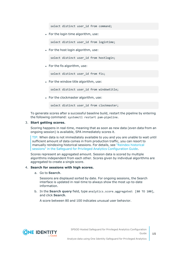select distinct user id from command:

• For the login time algorithm, use:

select distinct user id from logintime;

• For the host login algorithm, use:

select distinct user id from hostlogin;

 $\bullet$  For the fis algorithm, use:

select distinct user id from fis;

• For the window title algorithm, use:

select distinct user id from windowtitle;

• For the clockmaster algorithm, use:

select distinct user id from clockmaster;

To generate scores after a successful baseline build, restart the pipeline by entering the following command: systemctl restart pam-pipeline.

#### 3. **Start getting scores.**

Scoring happens in real-time, meaning that as soon as new data (even data from an ongoing session) is available, SPA immediately scores it.

TIP: When data is not immediately available to you and you are unable to wait until sufficient amount of data comes in from production traffic, you can resort to manually reindexing historical sessions. For details, see "Reindex [historical](https://support.oneidentity.com/technical-documents/safeguard-for-privileged-sessions/6.13.1/safeguard-for-privileged-analytics-configuration-guide/) sessions" in the Safeguard for Privileged Analytics [Configuration](https://support.oneidentity.com/technical-documents/safeguard-for-privileged-sessions/6.13.1/safeguard-for-privileged-analytics-configuration-guide/) Guide.

Scores represent an aggregated amount. Session data is scored by multiple algorithms independent from each other. Scores given by individual algorithms are aggregated to create a single score.

### 4. **Search for sessions with high scores.**

a. Go to **Search**.

Sessions are displayed sorted by date. For ongoing sessions, the Search interface is updated in real-time to always show the most up-to-date information.

b. In the **Search query** field, type analytics.score.aggregated: [80 TO 100], and click **Search**.

A score between 80 and 100 indicates unusual user behavior.

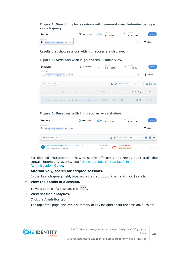### **Figure 4: Searching for sessions with unusual user behavior using a search query**

| Sessions                                | $\boxed{\underline{\mathbb{N}}}$ Create report | ⊞∨ | start date<br>Pick a date | end date<br>Pick a date | Search         |
|-----------------------------------------|------------------------------------------------|----|---------------------------|-------------------------|----------------|
| Search query                            |                                                |    |                           |                         |                |
| analytics.score.aggregated: [80 TO 100] |                                                |    |                           |                         | <b>Filters</b> |

Results that show sessions with high scores are displayed.

#### **Figure 5: Sessions with high scores — table view**

|                   | <b>Sessions</b>                      |                                         |               | $\boxed{\underline{\sim}}$ Create report |                                 | start date<br>□∨ | Pick a date             |                 | end date   | Pick a date                             | Search         |     |
|-------------------|--------------------------------------|-----------------------------------------|---------------|------------------------------------------|---------------------------------|------------------|-------------------------|-----------------|------------|-----------------------------------------|----------------|-----|
| Search query<br>Q |                                      | analytics.score.aggregated: [80 TO 100] |               |                                          |                                 |                  |                         |                 |            | $\times$                                | <b>Filters</b> |     |
| Sort by           | Most recent $\vert \mathbf{v} \vert$ |                                         |               |                                          |                                 |                  | €<br>ш.                 | 1 session found |            | Export CSV                              | Ξ.<br>田丰       |     |
|                   | score start date                     | end date                                | duration user |                                          | server user                     |                  | client name server name |                 |            | server port protocol interesting events | verdict        |     |
| 81                | 2019-09-05 08:33:52                  | 2019-09-05 08:47:25                     | 00:13:33      |                                          | darth sidious emperor palpatine | 10.10.0.40       | 10.110.100.31           | 2275            | <b>SSH</b> | oreder66                                | <b>ACCEPT</b>  | 000 |

### **Figure 6: Sessions with high scores — card view**

| <b>Sessions</b>                                                                            | Meate report | □∨         | start date<br>Pick a date              | end date<br>Pick a date                         | Search             |
|--------------------------------------------------------------------------------------------|--------------|------------|----------------------------------------|-------------------------------------------------|--------------------|
| Search query<br>Q<br>analytics.score.aggregated: [80 TO 100]                               |              |            |                                        | $\times$                                        | <b>Filters</b>     |
| Sort by<br>Most recent $\vert \vee$                                                        |              |            | ト け                                    | 1 session found                                 | Export CSV …   三田丰 |
| darth_sidious requested emperor_palp for 10.110.100.31<br>SSH from $10.10.0.40$ > Accepted |              | '19 Sep 05 | $($ 08:33 - 08:47<br>$\blacksquare$ 81 | <b>Unusual behaviour</b><br>Analytics score: 81 | $\cdots$           |

For detailed instructions on how to search effectively and replay audit trails that contain interesting events, see "Using the Search [interface"](https://support.oneidentity.com/technical-documents/safeguard-for-privileged-sessions/6.13.1/administration-guide/) in the [Administration](https://support.oneidentity.com/technical-documents/safeguard-for-privileged-sessions/6.13.1/administration-guide/) Guide.

### 5. **Alternatively, search for scripted sessions.**

In the **Search query** field, type analytics.scripted:true, and click **Search**.

### 6. **View the details of a session.**

To view details of a session, click ...

### 7. **View session analytics.**

Click the **Analytics** tab.

The top of the page displays a summary of key insights about the session, such as:

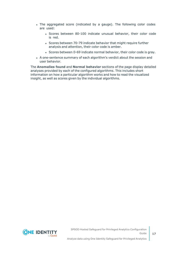- The aggregated score (indicated by a gauge). The following color codes are used:
	- Scores between 80-100 indicate unusual behavior, their color code is red.
	- Scores between 70-79 indicate behavior that might require further analysis and attention, their color code is amber.
	- Scores between 0-69 indicate normal behavior, their color code is gray.
- A one-sentence summary of each algorithm's verdict about the session and user behavior.

The **Anomalies found** and **Normal behavior** sections of the page display detailed analyses provided by each of the configured algorithms. This includes short information on how a particular algorithm works and how to read the visualized insight, as well as scores given by the individual algorithms.

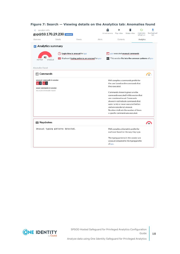| session info<br>gyp@10.170.29.230 indexed                                             |                |                                                                               |        | Unlock events | Play video                  | Delete video                                                                                                | Automatic<br>refresh on | Download audi<br>trail |
|---------------------------------------------------------------------------------------|----------------|-------------------------------------------------------------------------------|--------|---------------|-----------------------------|-------------------------------------------------------------------------------------------------------------|-------------------------|------------------------|
| Overview                                                                              | <b>Details</b> | Events                                                                        | Alerts |               | Contents                    |                                                                                                             | Analytics               |                        |
| <b>III</b> Analytics summary                                                          |                |                                                                               |        |               |                             |                                                                                                             |                         |                        |
| 92<br>unusual<br>normal                                                               |                | Login time is unusual for gyp<br>Keyboard typing patterns are unusual for gyp |        |               |                             | gyp executed unusual commands<br>This session fits into the common patterns of gyp                          |                         |                        |
| Anomalies found                                                                       |                |                                                                               |        |               |                             |                                                                                                             |                         |                        |
| <b>⊡ Commands</b>                                                                     |                |                                                                               |        |               |                             |                                                                                                             |                         | 71                     |
| unusual commands in session<br>$\vert$ 3<br>$vi$ 1<br>ip<br>usual commands in session |                |                                                                               |        |               | they executed.              | PAA compiles a commands profile for<br>the user based on the commands that                                  |                         |                        |
| no usual commands found                                                               |                |                                                                               |        |               |                             | Commands shown in green are the<br>commands executed in this session that<br>are considered usual. Commands |                         |                        |
|                                                                                       |                |                                                                               |        |               |                             | shown in red indicate commands that<br>were rarely or never executed before                                 |                         |                        |
|                                                                                       |                |                                                                               |        |               | and are considered unusual. | Numbers indicate the number of times<br>a specific command was executed.                                    |                         |                        |
| <b>Expedience</b> Keystrokes                                                          |                |                                                                               |        |               |                             |                                                                                                             |                         | QQ                     |
| Unusual typing patterns detected.                                                     |                |                                                                               |        |               |                             | PAA compiles a biometric profile for<br>each user based on the way they type.                               |                         |                        |
|                                                                                       |                |                                                                               |        | of gyp.       |                             | The typing patterns in this session are<br>unusual compared to the typing profile                           |                         |                        |

### **Figure 7: Search — Viewing details on the Analytics tab: Anomalies found**

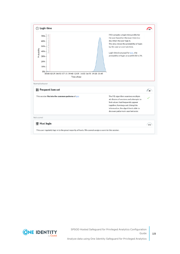

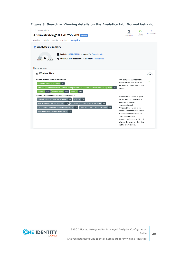| session info                                                                                                                                                                                                                                              |                                                                                                  |               |
|-----------------------------------------------------------------------------------------------------------------------------------------------------------------------------------------------------------------------------------------------------------|--------------------------------------------------------------------------------------------------|---------------|
| Administrator@10.170.255.203                                                                                                                                                                                                                              | stari<br>refresh<br>generation<br>enabled                                                        | download trai |
| analytics<br>details events contents<br>overview<br><b>III</b> Analytics summary<br>Login to 10.170.255.203 is normal for Administrator<br>12<br><b>Fig. Usual window titles in this session for Administrator</b><br>unusual<br>norma<br>Normal behavior |                                                                                                  |               |
| <b>A</b> Window Title                                                                                                                                                                                                                                     |                                                                                                  | 16            |
| Normal window titles in this session<br>windows internet explorer 3%                                                                                                                                                                                      | PAA compiles a window title<br>profile for the user based on<br>the window titles it sees on the |               |
| internet explorer enhanced security configuration not enabled windows internet explorer<br>3%<br>control panel <1% prompt <1%<br>network <1%                                                                                                              | screen.                                                                                          |               |

**Figure 8: Search — Viewing details on the Analytics tab: Normal behavior**

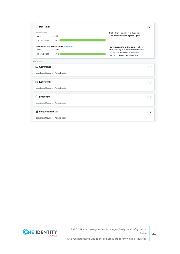| current session<br>probability<br>server                                                              | The host login algorithm analyzes how<br>likely it is for a user to log in to a given                                                                                     |
|-------------------------------------------------------------------------------------------------------|---------------------------------------------------------------------------------------------------------------------------------------------------------------------------|
| 100%<br>10.170.255.203                                                                                | host.                                                                                                                                                                     |
| top 10 servers most probably used by Administrator<br>probability<br>server<br>100%<br>10.170.255.203 | Peer groups are taken into consideration:<br>when users log in to hosts that are unusual<br>for them but frequently used by their<br>peers, such sessions are scored low. |
| Not scored                                                                                            |                                                                                                                                                                           |
| $\sqrt{2}$ Commands                                                                                   | n/a                                                                                                                                                                       |
| baseline not found for Administrator                                                                  |                                                                                                                                                                           |
| <b>Expedience</b> Keystrokes                                                                          | n/a<br>7                                                                                                                                                                  |
| baseline not found for Administrator                                                                  |                                                                                                                                                                           |
| $\circled{}$ Login time                                                                               | n/a                                                                                                                                                                       |
| baseline not found for Administrator                                                                  |                                                                                                                                                                           |
| Frequent item set                                                                                     | n/a                                                                                                                                                                       |
| baseline not found for Administrator                                                                  |                                                                                                                                                                           |

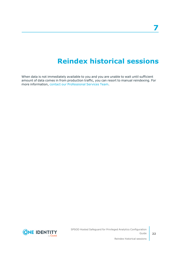# **Reindex historical sessions**

<span id="page-21-0"></span>When data is not immediately available to you and you are unable to wait until sufficient amount of data comes in from production traffic, you can resort to manual reindexing. For more information, contact our [Professional](https://support.oneidentity.com/professional-services-product-select) Services Team.

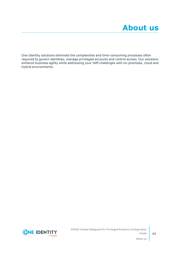<span id="page-22-0"></span>One Identity solutions eliminate the complexities and time-consuming processes often required to govern identities, manage privileged accounts and control access. Our solutions enhance business agility while addressing your IAM challenges with on-premises, cloud and hybrid environments.

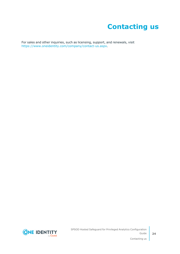# **Contacting us**

<span id="page-23-0"></span>For sales and other inquiries, such as licensing, support, and renewals, visit [https://www.oneidentity.com/company/contact-us.aspx.](https://www.oneidentity.com/company/contact-us.aspx)

**ONE IDENTITY** by **Quest**